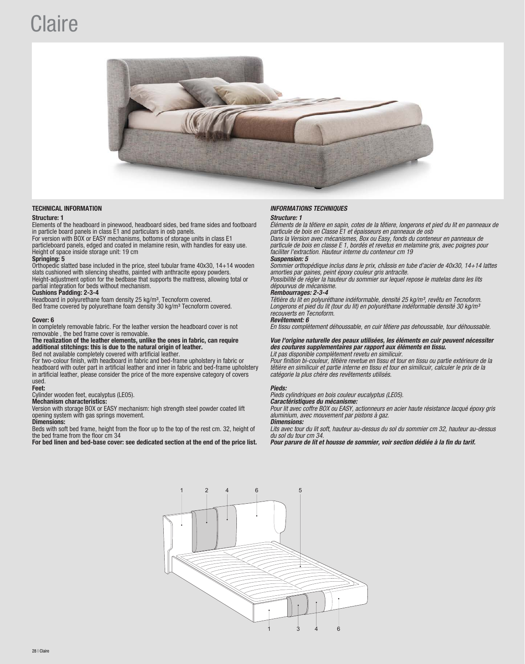# **Claire**



Elements of the headboard in pinewood, headboard sides, bed frame sides and footboard in particle board panels in class E1 and particulars in osb panels.

For version with BOX or EASY mechanisms, bottoms of storage units in class E1 particleboard panels, edged and coated in melamine resin, with handles for easy use. Height of space inside storage unit: 19 cm<br>Springing: 5 Springing: 5 Suspension: 5

Orthopedic slatted base included in the price, steel tubular frame 40x30, 14+14 wooden slats cushioned with silencing sheaths, painted with anthracite epoxy powders. Height-adjustment option for the bedbase that supports the mattress, allowing total or partial integration for beds without mechanism.

Cushions Padding: 2-3-4<br>Headboard in polyurethane foam density 25 kg/m<sup>3</sup>, Tecnoform covered.

In completely removable fabric. For the leather version the headboard cover is not removable , the bed frame cover is removable.

The realization of the leather elements, unlike the ones in fabric, can require additional stitchings: this is due to the natural origin of leather. Bed not available completely covered with artificial leather.

For two-colour finish, with headboard in fabric and bed-frame upholstery in fabric or headboard with outer part in artificial leather and inner in fabric and bed-frame upholstery in artificial leather, please consider the price of the more expensive category of covers used.<br>Feet:

## Feet: Pieds:

# Mechanism characteristics:

Version with storage BOX or EASY mechanism: high strength steel powder coated lift opening system with gas springs movement.

## Dimensions:

Beds with soft bed frame, height from the floor up to the top of the rest cm. 32, height of the bed frame from the floor cm 34

For bed linen and bed-base cover: see dedicated section at the end of the price list.

# TECHNICAL INFORMATION INFORMATIONS TECHNIQUES

## Structure: 1 Structure: 1 Structure: 1 Structure: 1 Structure: 1 Structure: 1 Structure: 1 Structure: 1 Structure: 1

Éléments de la têtiere en sapin, cotes de la têtiere, longerons et pied du lit en panneaux de particule de bois en Classe E1 et épaisseurs en panneaux de osb Dans la Version avec mécanismes, Box ou Easy, fonds du conteneur en panneaux de

particule de bois en classe E 1, bordés et revetus en melamine gris, avec poignes pour faciliter l'extraction. Hauteur interne du conteneur cm 19<br>Suspension: 5

Sommier orthopédique inclus dans le prix, châssis en tube d'acier de 40x30, 14+14 lattes amorties par gaines, peint époxy couleur gris antracite.

Possibilité de régler la hauteur du sommier sur lequel repose le matelas dans les lits dépourvus de mécanisme.<br>Rembourrages: 2-3-4

Headboard in polyurethane foam density 25 kg/m<sup>3</sup>, Tecnoform covered.<br>Bed frame covered by polyurethane foam density 30 kg/m<sup>3</sup> Tecnoform covered. Longerons et pied du lit (tour du lit) en polyuréthane indéformable densité Longerons et pied du lit (tour du lit) en polyuréthane indéformable densité 30 kg/m<sup>3</sup> recouverts en Tecnoform.<br>Revêtement: 6

## Cover: 6 Revêtement: 6

En tissu complètement déhoussable, en cuir têtiere pas dehoussable, tour déhoussable.

## Vue l'origine naturelle des peaux utilisées, les éléments en cuir peuvent nécessiter des coutures supplementaires par rapport aux éléments en tissu. Lit pas disponible complètement revetu en similicuir.

Pour finition bi-couleur, têtière revetue en tissu et tour en tissu ou partie extérieure de la têtière en similicuir et partie interne en tissu et tour en similicuir, calculer le prix de la catégorie la plus chère des revêtements utilisés.

Cylinder wooden feet, eucalyptus (LE05).<br> **Mechanism characteristics:**<br> **Mechanism characteristics:** 

Pour lit avec coffre BOX ou EASY, actionneurs en acier haute résistance lacqué époxy gris aluminium, avec mouvement par pistons à gaz.<br>**Dimensions:** 

Lits avec tour du lit soft, hauteur au-dessus du sol du sommier cm 32, hauteur au-dessus du sol du tour cm 34.<br>Pour parure de lit et housse de sommier, voir section dédiée à la fin du tarif.